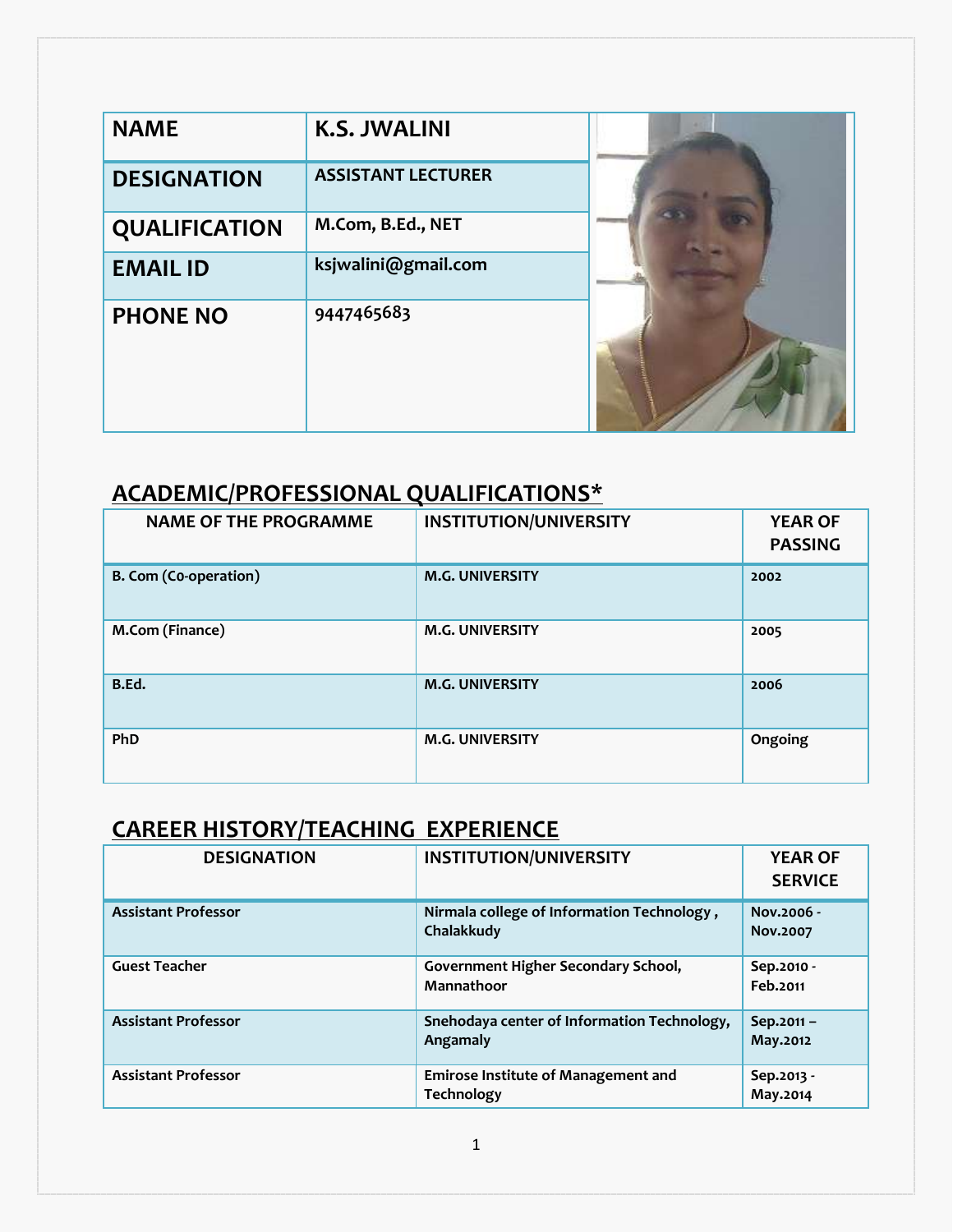| <b>NAME</b>        | <b>K.S. JWALINI</b>       |  |
|--------------------|---------------------------|--|
| <b>DESIGNATION</b> | <b>ASSISTANT LECTURER</b> |  |
| QUALIFICATION      | M.Com, B.Ed., NET         |  |
| <b>EMAIL ID</b>    | ksjwalini@gmail.com       |  |
| <b>PHONE NO</b>    | 9447465683                |  |

# **ACADEMIC/PROFESSIONAL QUALIFICATIONS\***

| <b>NAME OF THE PROGRAMME</b> | <b>INSTITUTION/UNIVERSITY</b> | <b>YEAR OF</b><br><b>PASSING</b> |
|------------------------------|-------------------------------|----------------------------------|
| <b>B. Com (Co-operation)</b> | <b>M.G. UNIVERSITY</b>        | 2002                             |
| M.Com (Finance)              | <b>M.G. UNIVERSITY</b>        | 2005                             |
| B.Ed.                        | <b>M.G. UNIVERSITY</b>        | 2006                             |
| PhD                          | <b>M.G. UNIVERSITY</b>        | Ongoing                          |

## **CAREER HISTORY/TEACHING EXPERIENCE**

| <b>DESIGNATION</b>         | <b>INSTITUTION/UNIVERSITY</b>                            | <b>YEAR OF</b><br><b>SERVICE</b> |
|----------------------------|----------------------------------------------------------|----------------------------------|
| <b>Assistant Professor</b> | Nirmala college of Information Technology,<br>Chalakkudy | Nov.2006 -<br>Nov.2007           |
| <b>Guest Teacher</b>       | Government Higher Secondary School,<br>Mannathoor        | Sep.2010 -<br>Feb.2011           |
| <b>Assistant Professor</b> | Snehodaya center of Information Technology,<br>Angamaly  | Sep.2011-<br>May.2012            |
| <b>Assistant Professor</b> | <b>Emirose Institute of Management and</b><br>Technology | Sep.2013 -<br>May.2014           |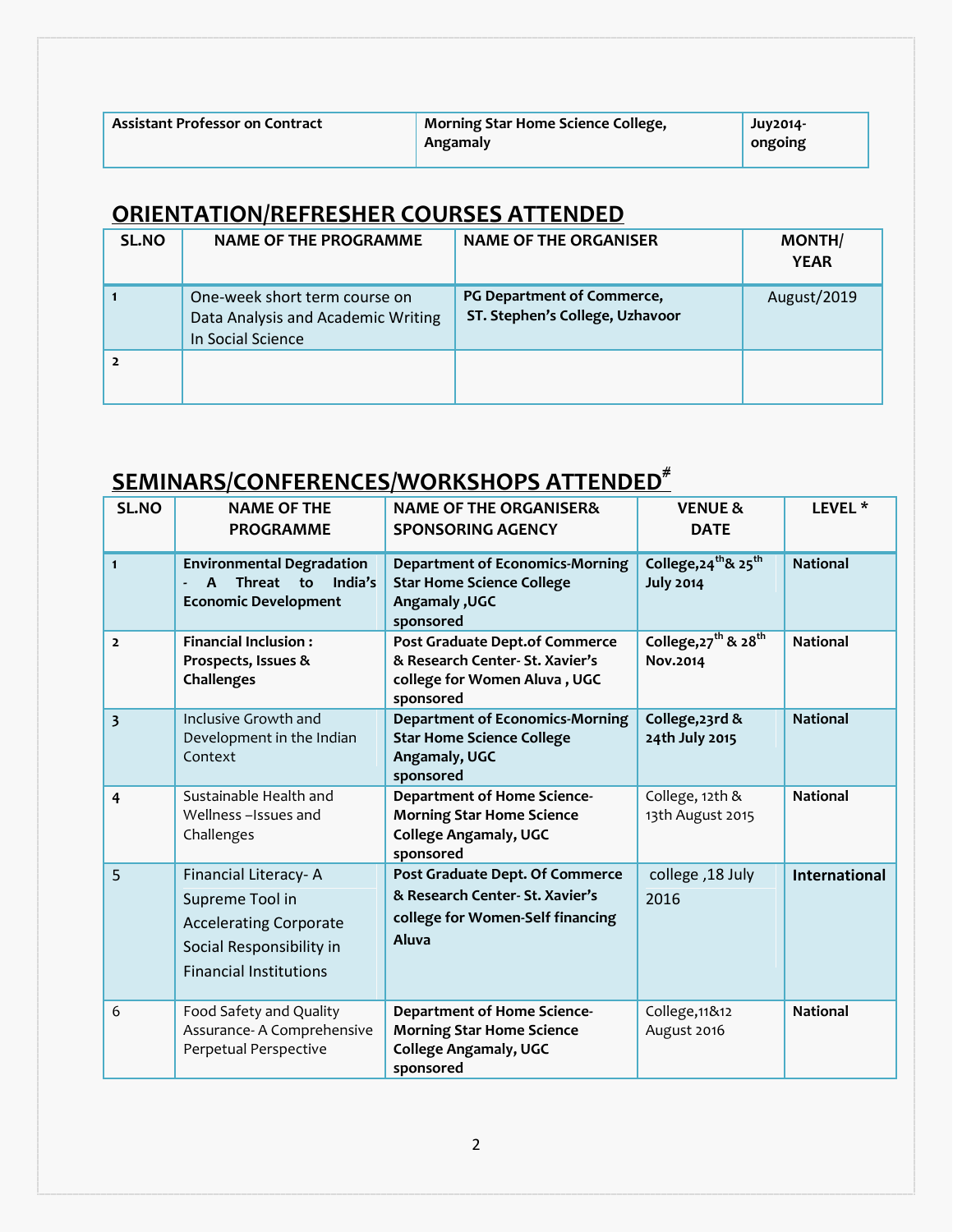| <b>Assistant Professor on Contract</b> | Morning Star Home Science College,<br>Angamaly | $Juv2014-$<br>ongoing |
|----------------------------------------|------------------------------------------------|-----------------------|
|                                        |                                                |                       |

### **ORIENTATION/REFRESHER COURSES ATTENDED**

| <b>SL.NO</b> | NAME OF THE PROGRAMME                                                                    | <b>NAME OF THE ORGANISER</b>                                  | <b>MONTH/</b><br><b>YEAR</b> |
|--------------|------------------------------------------------------------------------------------------|---------------------------------------------------------------|------------------------------|
|              | One-week short term course on<br>Data Analysis and Academic Writing<br>In Social Science | PG Department of Commerce,<br>ST. Stephen's College, Uzhavoor | August/2019                  |
|              |                                                                                          |                                                               |                              |

# **SEMINARS/CONFERENCES/WORKSHOPS ATTENDED#**

| SL.NO                   | <b>NAME OF THE</b><br><b>PROGRAMME</b>                                                                                                | <b>NAME OF THE ORGANISER&amp;</b><br><b>SPONSORING AGENCY</b>                                                       | <b>VENUE &amp;</b><br><b>DATE</b>                                | LEVEL <sup>*</sup>   |
|-------------------------|---------------------------------------------------------------------------------------------------------------------------------------|---------------------------------------------------------------------------------------------------------------------|------------------------------------------------------------------|----------------------|
| $\mathbf{1}$            | <b>Environmental Degradation</b><br><b>Threat</b><br>to<br>India's<br>$\mathbf{A}$<br><b>Economic Development</b>                     | <b>Department of Economics-Morning</b><br><b>Star Home Science College</b><br>Angamaly, UGC<br>sponsored            | College, 24 <sup>th</sup> & 25 <sup>th</sup><br><b>July 2014</b> | <b>National</b>      |
| $\overline{\mathbf{2}}$ | <b>Financial Inclusion:</b><br>Prospects, Issues &<br>Challenges                                                                      | Post Graduate Dept.of Commerce<br>& Research Center- St. Xavier's<br>college for Women Aluva, UGC<br>sponsored      | College, 27 <sup>th</sup> & 28 <sup>th</sup><br>Nov.2014         | <b>National</b>      |
| $\overline{\mathbf{3}}$ | Inclusive Growth and<br>Development in the Indian<br>Context                                                                          | <b>Department of Economics-Morning</b><br><b>Star Home Science College</b><br>Angamaly, UGC<br>sponsored            | College, 23rd &<br>24th July 2015                                | <b>National</b>      |
| $\overline{4}$          | Sustainable Health and<br>Wellness-Issues and<br>Challenges                                                                           | <b>Department of Home Science-</b><br><b>Morning Star Home Science</b><br><b>College Angamaly, UGC</b><br>sponsored | College, 12th &<br>13th August 2015                              | <b>National</b>      |
| 5                       | Financial Literacy-A<br>Supreme Tool in<br><b>Accelerating Corporate</b><br>Social Responsibility in<br><b>Financial Institutions</b> | Post Graduate Dept. Of Commerce<br>& Research Center- St. Xavier's<br>college for Women-Self financing<br>Aluva     | college, 18 July<br>2016                                         | <b>International</b> |
| 6                       | Food Safety and Quality<br>Assurance- A Comprehensive<br>Perpetual Perspective                                                        | <b>Department of Home Science-</b><br><b>Morning Star Home Science</b><br><b>College Angamaly, UGC</b><br>sponsored | College, 11&12<br>August 2016                                    | <b>National</b>      |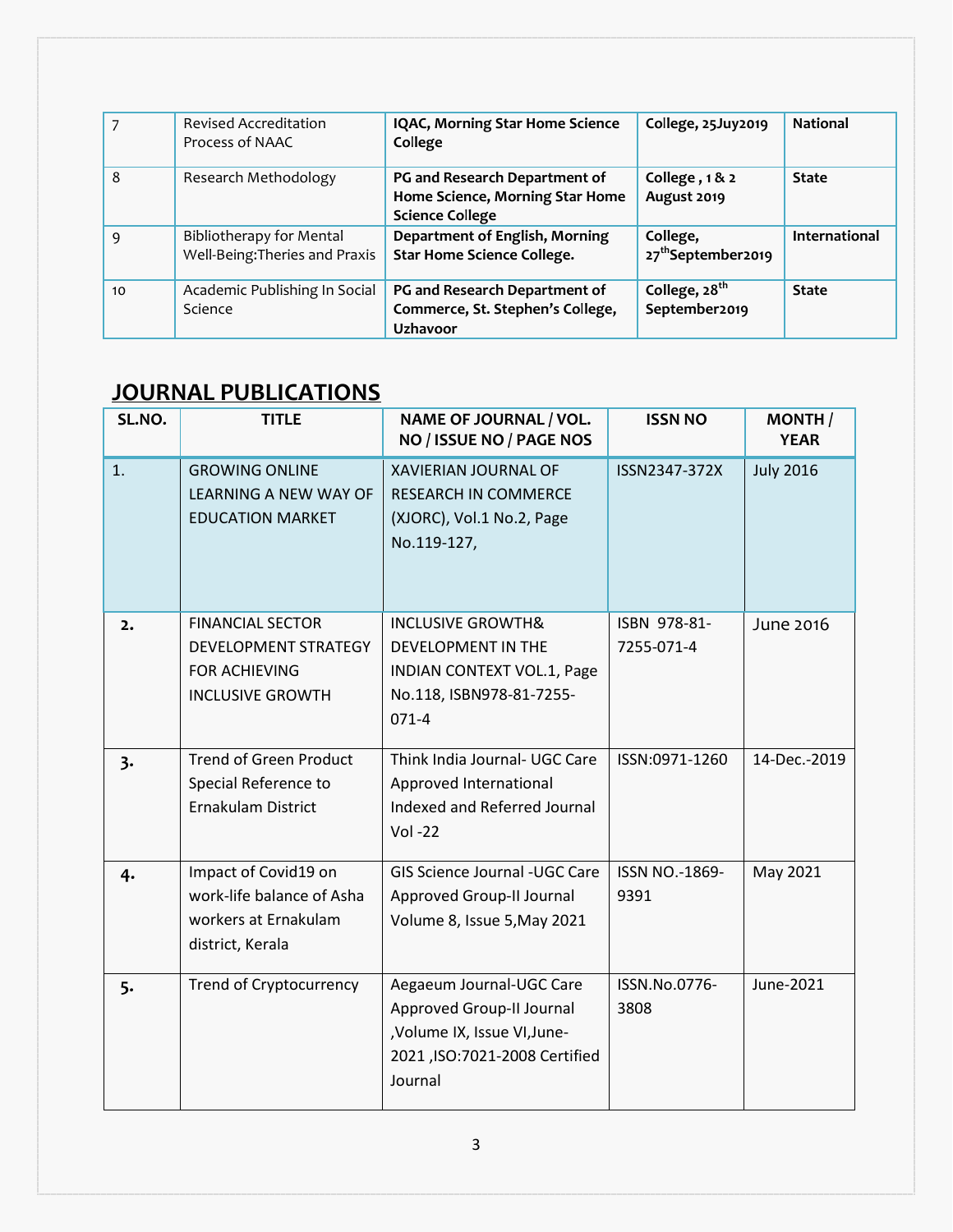| 7  | <b>Revised Accreditation</b><br>Process of NAAC                   | IQAC, Morning Star Home Science<br>College                                                 | College, 25Juy2019                         | <b>National</b> |
|----|-------------------------------------------------------------------|--------------------------------------------------------------------------------------------|--------------------------------------------|-----------------|
| 8  | Research Methodology                                              | PG and Research Department of<br>Home Science, Morning Star Home<br><b>Science College</b> | College, 1&2<br>August 2019                | <b>State</b>    |
| 9  | <b>Bibliotherapy for Mental</b><br>Well-Being: Theries and Praxis | Department of English, Morning<br>Star Home Science College.                               | College,<br>27 <sup>th</sup> September2019 | International   |
| 10 | Academic Publishing In Social<br>Science                          | PG and Research Department of<br>Commerce, St. Stephen's College,<br><b>Uzhavoor</b>       | College, 28 <sup>th</sup><br>September2019 | <b>State</b>    |

## **JOURNAL PUBLICATIONS**

| SL.NO. | <b>TITLE</b>                                                                                       | NAME OF JOURNAL / VOL.<br>NO / ISSUE NO / PAGE NOS                                                                                | <b>ISSN NO</b>                | <b>MONTH</b><br><b>YEAR</b> |
|--------|----------------------------------------------------------------------------------------------------|-----------------------------------------------------------------------------------------------------------------------------------|-------------------------------|-----------------------------|
| 1.     | <b>GROWING ONLINE</b><br>LEARNING A NEW WAY OF<br><b>EDUCATION MARKET</b>                          | <b>XAVIERIAN JOURNAL OF</b><br><b>RESEARCH IN COMMERCE</b><br>(XJORC), Vol.1 No.2, Page<br>No.119-127,                            | ISSN2347-372X                 | <b>July 2016</b>            |
| 2.     | <b>FINANCIAL SECTOR</b><br>DEVELOPMENT STRATEGY<br><b>FOR ACHIEVING</b><br><b>INCLUSIVE GROWTH</b> | <b>INCLUSIVE GROWTH&amp;</b><br>DEVELOPMENT IN THE<br><b>INDIAN CONTEXT VOL.1, Page</b><br>No.118, ISBN978-81-7255-<br>$071 - 4$  | ISBN 978-81-<br>7255-071-4    | June 2016                   |
| 3.     | <b>Trend of Green Product</b><br>Special Reference to<br>Ernakulam District                        | Think India Journal- UGC Care<br>Approved International<br>Indexed and Referred Journal<br><b>Vol-22</b>                          | ISSN:0971-1260                | 14-Dec.-2019                |
| 4.     | Impact of Covid19 on<br>work-life balance of Asha<br>workers at Ernakulam<br>district, Kerala      | GIS Science Journal -UGC Care<br>Approved Group-II Journal<br>Volume 8, Issue 5, May 2021                                         | <b>ISSN NO.-1869-</b><br>9391 | May 2021                    |
| 5.     | <b>Trend of Cryptocurrency</b>                                                                     | Aegaeum Journal-UGC Care<br>Approved Group-II Journal<br>,Volume IX, Issue VI, June-<br>2021, ISO: 7021-2008 Certified<br>Journal | ISSN.No.0776-<br>3808         | June-2021                   |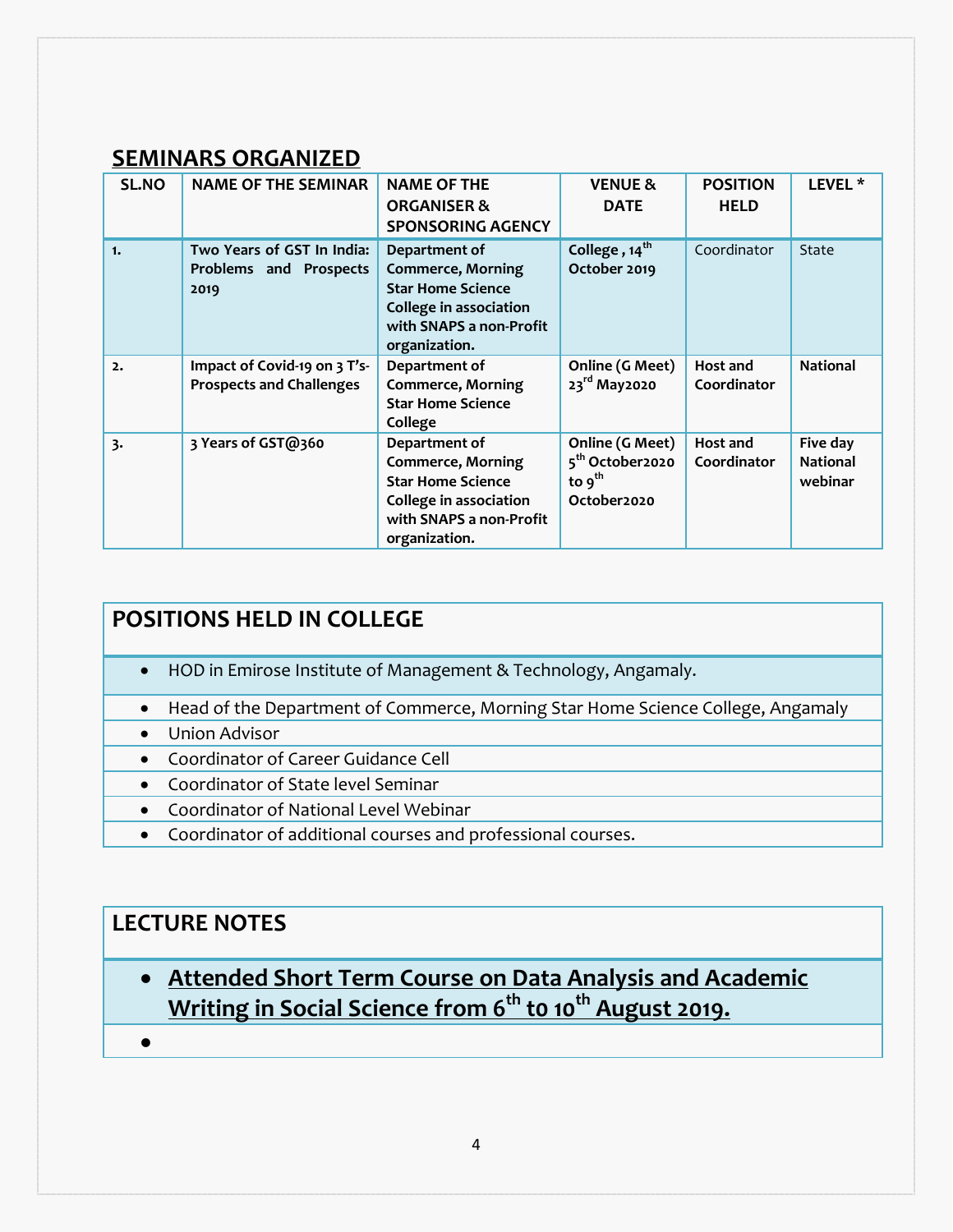#### **SEMINARS ORGANIZED**

| <b>SL.NO</b> | <b>NAME OF THE SEMINAR</b>                                      | <b>NAME OF THE</b><br><b>ORGANISER &amp;</b><br><b>SPONSORING AGENCY</b>                                                                    | <b>VENUE &amp;</b><br><b>DATE</b>                                            | <b>POSITION</b><br><b>HELD</b> | LEVEL <sup>*</sup>                     |
|--------------|-----------------------------------------------------------------|---------------------------------------------------------------------------------------------------------------------------------------------|------------------------------------------------------------------------------|--------------------------------|----------------------------------------|
| 1.           | Two Years of GST In India:<br>Problems and Prospects<br>2019    | Department of<br><b>Commerce, Morning</b><br><b>Star Home Science</b><br>College in association<br>with SNAPS a non-Profit<br>organization. | College, 14 <sup>th</sup><br>October 2019                                    | Coordinator                    | State                                  |
| 2.           | Impact of Covid-19 on 3 T's-<br><b>Prospects and Challenges</b> | Department of<br><b>Commerce, Morning</b><br><b>Star Home Science</b><br>College                                                            | Online (G Meet)<br>23rd May2020                                              | Host and<br>Coordinator        | <b>National</b>                        |
| 3.           | 3 Years of GST@360                                              | Department of<br><b>Commerce, Morning</b><br><b>Star Home Science</b><br>College in association<br>with SNAPS a non-Profit<br>organization. | Online (G Meet)<br>5 <sup>th</sup> October2020<br>to $9^{th}$<br>October2020 | Host and<br>Coordinator        | Five day<br><b>National</b><br>webinar |

### **POSITIONS HELD IN COLLEGE**

- HOD in Emirose Institute of Management & Technology, Angamaly.
- Head of the Department of Commerce, Morning Star Home Science College, Angamaly
- Union Advisor
- Coordinator of Career Guidance Cell
- Coordinator of State level Seminar
- Coordinator of National Level Webinar
- Coordinator of additional courses and professional courses.

### **LECTURE NOTES**

- **Attended Short Term Course on Data Analysis and Academic Writing in Social Science from 6th t0 10th August 2019.**
- $\bullet$